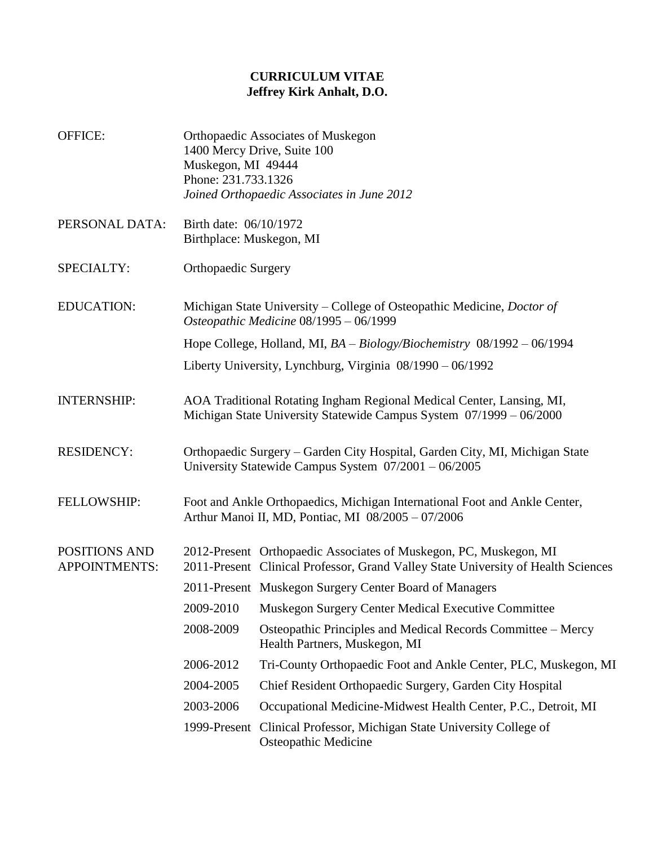## **CURRICULUM VITAE Jeffrey Kirk Anhalt, D.O.**

- OFFICE: Orthopaedic Associates of Muskegon 1400 Mercy Drive, Suite 100 Muskegon, MI 49444 Phone: 231.733.1326 *Joined Orthopaedic Associates in June 2012*
- PERSONAL DATA: Birth date: 06/10/1972 Birthplace: Muskegon, MI
- SPECIALTY: Orthopaedic Surgery
- EDUCATION: Michigan State University College of Osteopathic Medicine, *Doctor of Osteopathic Medicine* 08/1995 – 06/1999 Hope College, Holland, MI, *BA – Biology/Biochemistry* 08/1992 – 06/1994
	- Liberty University, Lynchburg, Virginia 08/1990 06/1992
- INTERNSHIP: AOA Traditional Rotating Ingham Regional Medical Center, Lansing, MI, Michigan State University Statewide Campus System 07/1999 – 06/2000
- RESIDENCY: Orthopaedic Surgery Garden City Hospital, Garden City, MI, Michigan State University Statewide Campus System 07/2001 – 06/2005
- FELLOWSHIP: Foot and Ankle Orthopaedics, Michigan International Foot and Ankle Center, Arthur Manoi II, MD, Pontiac, MI 08/2005 – 07/2006

POSITIONS AND APPOINTMENTS: 2012-Present Orthopaedic Associates of Muskegon, PC, Muskegon, MI 2011-Present Clinical Professor, Grand Valley State University of Health Sciences 2011-Present Muskegon Surgery Center Board of Managers

- 2009-2010 Muskegon Surgery Center Medical Executive Committee
- 2008-2009 Osteopathic Principles and Medical Records Committee Mercy Health Partners, Muskegon, MI
- 2006-2012 Tri-County Orthopaedic Foot and Ankle Center, PLC, Muskegon, MI
- 2004-2005 Chief Resident Orthopaedic Surgery, Garden City Hospital
- 2003-2006 Occupational Medicine-Midwest Health Center, P.C., Detroit, MI
	- 1999-Present Clinical Professor, Michigan State University College of Osteopathic Medicine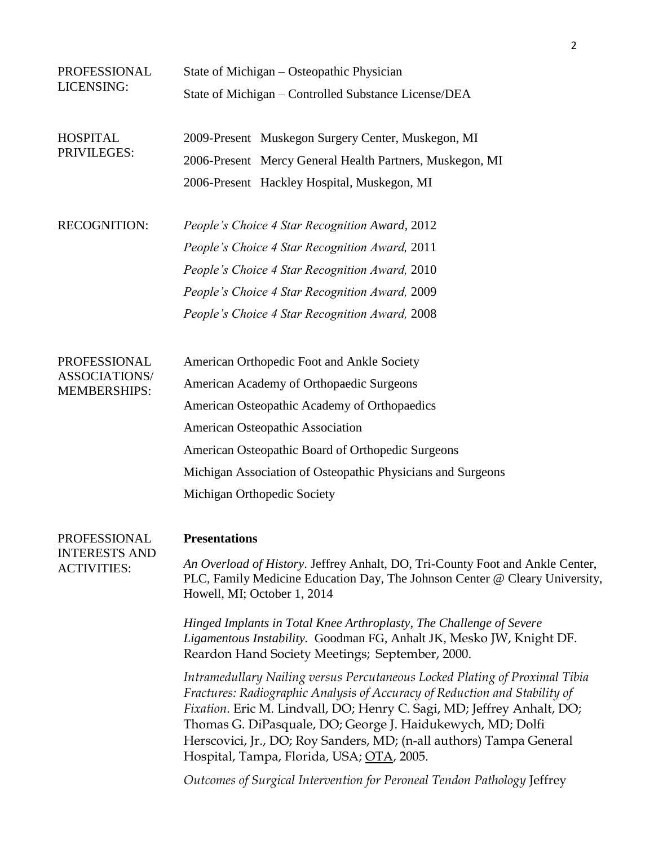| PROFESSIONAL<br>LICENSING:                                  | State of Michigan – Osteopathic Physician                                                                                                                                                                                                                                                                                                                                                                             |
|-------------------------------------------------------------|-----------------------------------------------------------------------------------------------------------------------------------------------------------------------------------------------------------------------------------------------------------------------------------------------------------------------------------------------------------------------------------------------------------------------|
|                                                             | State of Michigan - Controlled Substance License/DEA                                                                                                                                                                                                                                                                                                                                                                  |
| <b>HOSPITAL</b><br>PRIVILEGES:                              | 2009-Present Muskegon Surgery Center, Muskegon, MI                                                                                                                                                                                                                                                                                                                                                                    |
|                                                             | 2006-Present Mercy General Health Partners, Muskegon, MI                                                                                                                                                                                                                                                                                                                                                              |
|                                                             | 2006-Present Hackley Hospital, Muskegon, MI                                                                                                                                                                                                                                                                                                                                                                           |
| <b>RECOGNITION:</b>                                         | People's Choice 4 Star Recognition Award, 2012                                                                                                                                                                                                                                                                                                                                                                        |
|                                                             | People's Choice 4 Star Recognition Award, 2011                                                                                                                                                                                                                                                                                                                                                                        |
|                                                             | People's Choice 4 Star Recognition Award, 2010                                                                                                                                                                                                                                                                                                                                                                        |
|                                                             | People's Choice 4 Star Recognition Award, 2009                                                                                                                                                                                                                                                                                                                                                                        |
|                                                             | People's Choice 4 Star Recognition Award, 2008                                                                                                                                                                                                                                                                                                                                                                        |
| PROFESSIONAL<br><b>ASSOCIATIONS/</b><br><b>MEMBERSHIPS:</b> | American Orthopedic Foot and Ankle Society                                                                                                                                                                                                                                                                                                                                                                            |
|                                                             | American Academy of Orthopaedic Surgeons                                                                                                                                                                                                                                                                                                                                                                              |
|                                                             | American Osteopathic Academy of Orthopaedics                                                                                                                                                                                                                                                                                                                                                                          |
|                                                             | American Osteopathic Association                                                                                                                                                                                                                                                                                                                                                                                      |
|                                                             | American Osteopathic Board of Orthopedic Surgeons                                                                                                                                                                                                                                                                                                                                                                     |
|                                                             | Michigan Association of Osteopathic Physicians and Surgeons                                                                                                                                                                                                                                                                                                                                                           |
|                                                             | Michigan Orthopedic Society                                                                                                                                                                                                                                                                                                                                                                                           |
| PROFESSIONAL<br><b>INTERESTS AND</b><br><b>ACTIVITIES:</b>  | <b>Presentations</b>                                                                                                                                                                                                                                                                                                                                                                                                  |
|                                                             | An Overload of History. Jeffrey Anhalt, DO, Tri-County Foot and Ankle Center,<br>PLC, Family Medicine Education Day, The Johnson Center @ Cleary University,<br>Howell, MI; October 1, 2014                                                                                                                                                                                                                           |
|                                                             | Hinged Implants in Total Knee Arthroplasty, The Challenge of Severe<br>Ligamentous Instability. Goodman FG, Anhalt JK, Mesko JW, Knight DF.<br>Reardon Hand Society Meetings; September, 2000.                                                                                                                                                                                                                        |
|                                                             | Intramedullary Nailing versus Percutaneous Locked Plating of Proximal Tibia<br>Fractures: Radiographic Analysis of Accuracy of Reduction and Stability of<br>Fixation. Eric M. Lindvall, DO; Henry C. Sagi, MD; Jeffrey Anhalt, DO;<br>Thomas G. DiPasquale, DO; George J. Haidukewych, MD; Dolfi<br>Herscovici, Jr., DO; Roy Sanders, MD; (n-all authors) Tampa General<br>Hospital, Tampa, Florida, USA; OTA, 2005. |
|                                                             | Outcomes of Surgical Intervention for Peroneal Tendon Pathology Jeffrey                                                                                                                                                                                                                                                                                                                                               |

2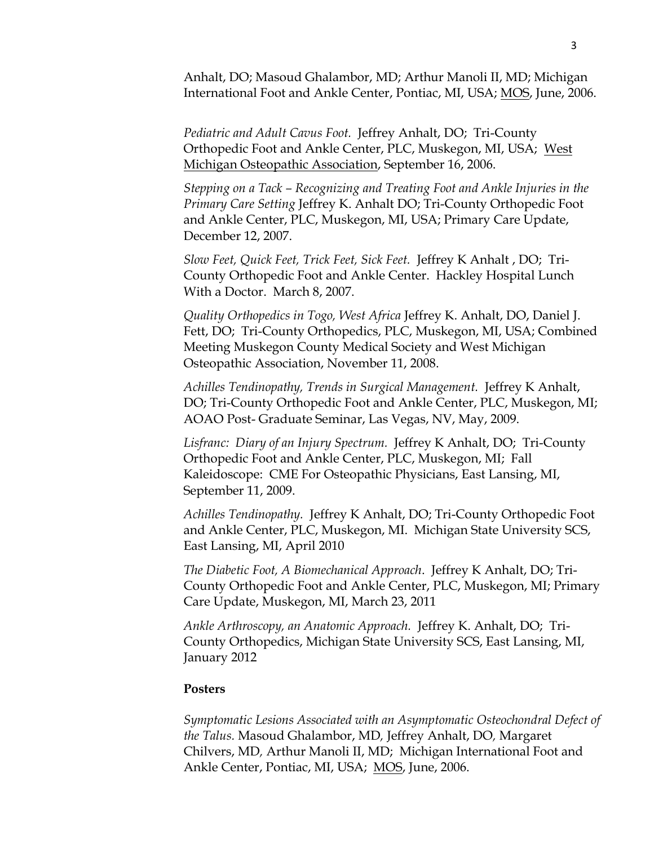Anhalt, DO; Masoud Ghalambor, MD; Arthur Manoli II, MD; Michigan International Foot and Ankle Center, Pontiac, MI, USA; MOS, June, 2006.

*Pediatric and Adult Cavus Foot.* Jeffrey Anhalt, DO; Tri-County Orthopedic Foot and Ankle Center, PLC, Muskegon, MI, USA; West Michigan Osteopathic Association, September 16, 2006.

*Stepping on a Tack – Recognizing and Treating Foot and Ankle Injuries in the Primary Care Setting* Jeffrey K. Anhalt DO; Tri-County Orthopedic Foot and Ankle Center, PLC, Muskegon, MI, USA; Primary Care Update, December 12, 2007.

*Slow Feet, Quick Feet, Trick Feet, Sick Feet.* Jeffrey K Anhalt , DO; Tri-County Orthopedic Foot and Ankle Center. Hackley Hospital Lunch With a Doctor. March 8, 2007.

*Quality Orthopedics in Togo, West Africa* Jeffrey K. Anhalt, DO, Daniel J. Fett, DO; Tri-County Orthopedics, PLC, Muskegon, MI, USA; Combined Meeting Muskegon County Medical Society and West Michigan Osteopathic Association, November 11, 2008.

*Achilles Tendinopathy, Trends in Surgical Management.* Jeffrey K Anhalt, DO; Tri-County Orthopedic Foot and Ankle Center, PLC, Muskegon, MI; AOAO Post- Graduate Seminar, Las Vegas, NV, May, 2009.

*Lisfranc: Diary of an Injury Spectrum.* Jeffrey K Anhalt, DO; Tri-County Orthopedic Foot and Ankle Center, PLC, Muskegon, MI; Fall Kaleidoscope: CME For Osteopathic Physicians, East Lansing, MI, September 11, 2009.

*Achilles Tendinopathy.* Jeffrey K Anhalt, DO; Tri-County Orthopedic Foot and Ankle Center, PLC, Muskegon, MI. Michigan State University SCS, East Lansing, MI, April 2010

*The Diabetic Foot, A Biomechanical Approach*. Jeffrey K Anhalt, DO; Tri-County Orthopedic Foot and Ankle Center, PLC, Muskegon, MI; Primary Care Update, Muskegon, MI, March 23, 2011

*Ankle Arthroscopy, an Anatomic Approach.* Jeffrey K. Anhalt, DO; Tri-County Orthopedics, Michigan State University SCS, East Lansing, MI, January 2012

## **Posters**

*Symptomatic Lesions Associated with an Asymptomatic Osteochondral Defect of the Talus.* Masoud Ghalambor, MD*,* Jeffrey Anhalt, DO*,* Margaret Chilvers, MD*,* Arthur Manoli II, MD; Michigan International Foot and Ankle Center, Pontiac, MI, USA; MOS, June, 2006.